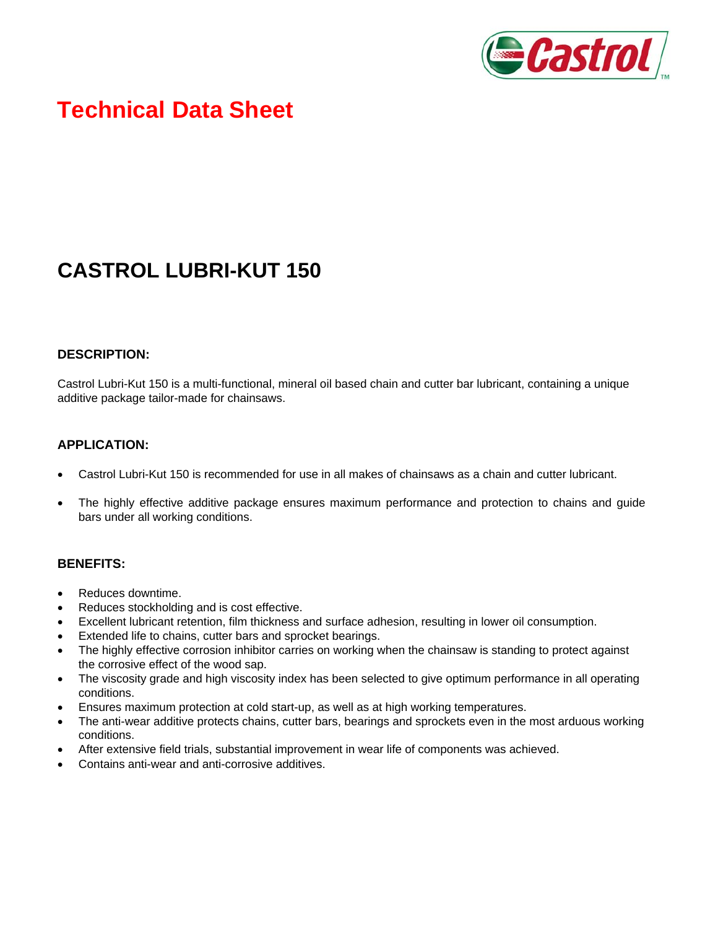

# **Technical Data Sheet**

## **CASTROL LUBRI-KUT 150**

#### **DESCRIPTION:**

Castrol Lubri-Kut 150 is a multi-functional, mineral oil based chain and cutter bar lubricant, containing a unique additive package tailor-made for chainsaws.

### **APPLICATION:**

- Castrol Lubri-Kut 150 is recommended for use in all makes of chainsaws as a chain and cutter lubricant.
- The highly effective additive package ensures maximum performance and protection to chains and guide bars under all working conditions.

#### **BENEFITS:**

- Reduces downtime.
- Reduces stockholding and is cost effective.
- Excellent lubricant retention, film thickness and surface adhesion, resulting in lower oil consumption.
- Extended life to chains, cutter bars and sprocket bearings.
- The highly effective corrosion inhibitor carries on working when the chainsaw is standing to protect against the corrosive effect of the wood sap.
- The viscosity grade and high viscosity index has been selected to give optimum performance in all operating conditions.
- Ensures maximum protection at cold start-up, as well as at high working temperatures.
- The anti-wear additive protects chains, cutter bars, bearings and sprockets even in the most arduous working conditions.
- After extensive field trials, substantial improvement in wear life of components was achieved.
- Contains anti-wear and anti-corrosive additives.